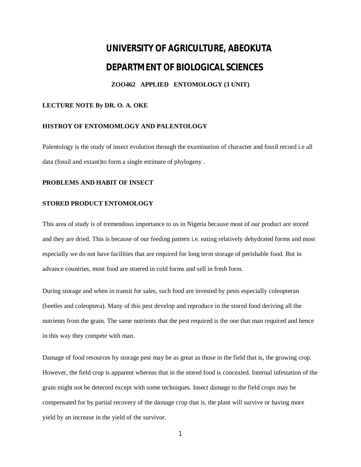# **UNIVERSITY OF AGRICULTURE, ABEOKUTA DEPARTMENT OF BIOLOGICAL SCIENCES**

## **ZOO462 APPLIED ENTOMOLOGY (3 UNIT)**

### **LECTURE NOTE By DR. O. A. OKE**

#### **HISTROY OF ENTOMOMLOGY AND PALENTOLOGY**

Palentology is the study of insect evolution through the examination of character and fossil record i.e all data (fossil and extant)to form a single estimate of phylogeny .

#### **PROBLEMS AND HABIT OF INSECT**

#### **STORED PRODUCT ENTOMOLOGY**

This area of study is of tremendous importance to us in Nigeria because most of our product are stored and they are dried. This is because of our feeding pattern i.e. eating relatively dehydrated forms and most especially we do not have facilities that are required for long term storage of perishable food. But in advance countries, most food are stoered in cold forms and sell in fresh form.

During storage and when in transit for sales, such food are invested by pests especially coleopteran (beetles and coleoptera). Many of this pest develop and reproduce in the stored food deriving all the nutrients from the grain. The same nutrients that the pest required is the one that man required and hence in this way they compete with man.

Damage of food resources by storage pest may be as great as those in the field that is, the growing crop. However, the field crop is apparent whereas that in the stored food is concealed. Internal infestation of the grain might not be detected except with some techniques. Insect damage to the field crops may be compensated for by partial recovery of the damage crop that is, the plant will survive or having more yield by an increase in the yield of the survivor.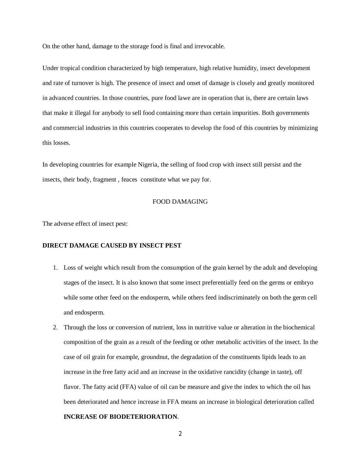On the other hand, damage to the storage food is final and irrevocable.

Under tropical condition characterized by high temperature, high relative humidity, insect development and rate of turnover is high. The presence of insect and onset of damage is closely and greatly monitored in advanced countries. In those countries, pure food lawe are in operation that is, there are certain laws that make it illegal for anybody to sell food containing more than certain impurities. Both governments and commercial industries in this countries cooperates to develop the food of this countries by minimizing this losses.

In developing countries for example Nigeria, the selling of food crop with insect still persist and the insects, their body, fragment , feaces constitute what we pay for.

#### FOOD DAMAGING

The adverse effect of insect pest:

#### **DIRECT DAMAGE CAUSED BY INSECT PEST**

- 1. Loss of weight which result from the consumption of the grain kernel by the adult and developing stages of the insect. It is also known that some insect preferentially feed on the germs or embryo while some other feed on the endosperm, while others feed indiscriminately on both the germ cell and endosperm.
- 2. Through the loss or conversion of nutrient, loss in nutritive value or alteration in the biochemical composition of the grain as a result of the feeding or other metabolic activities of the insect. In the case of oil grain for example, groundnut, the degradation of the constituents lipids leads to an increase in the free fatty acid and an increase in the oxidative rancidity (change in taste), off flavor. The fatty acid (FFA) value of oil can be measure and give the index to which the oil has been deteriorated and hence increase in FFA means an increase in biological deterioration called **INCREASE OF BIODETERIORATION**.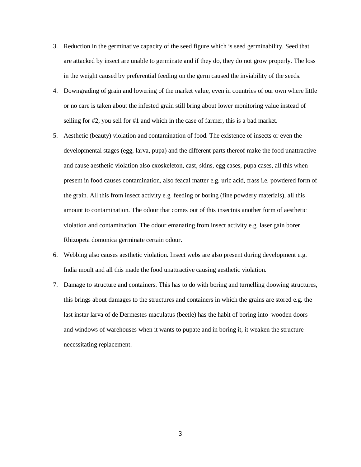- 3. Reduction in the germinative capacity of the seed figure which is seed germinability. Seed that are attacked by insect are unable to germinate and if they do, they do not grow properly. The loss in the weight caused by preferential feeding on the germ caused the inviability of the seeds.
- 4. Downgrading of grain and lowering of the market value, even in countries of our own where little or no care is taken about the infested grain still bring about lower monitoring value instead of selling for #2, you sell for #1 and which in the case of farmer, this is a bad market.
- 5. Aesthetic (beauty) violation and contamination of food. The existence of insects or even the developmental stages (egg, larva, pupa) and the different parts thereof make the food unattractive and cause aesthetic violation also exoskeleton, cast, skins, egg cases, pupa cases, all this when present in food causes contamination, also feacal matter e.g. uric acid, frass i.e. powdered form of the grain. All this from insect activity e.g feeding or boring (fine powdery materials), all this amount to contamination. The odour that comes out of this insectnis another form of aesthetic violation and contamination. The odour emanating from insect activity e.g. laser gain borer Rhizopeta domonica germinate certain odour.
- 6. Webbing also causes aesthetic violation. Insect webs are also present during development e.g. India moult and all this made the food unattractive causing aesthetic violation.
- 7. Damage to structure and containers. This has to do with boring and turnelling doowing structures, this brings about damages to the structures and containers in which the grains are stored e.g. the last instar larva of de Dermestes maculatus (beetle) has the habit of boring into wooden doors and windows of warehouses when it wants to pupate and in boring it, it weaken the structure necessitating replacement.

3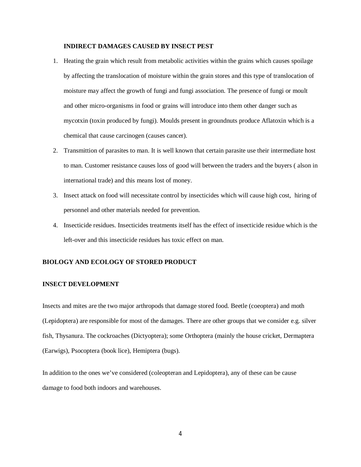#### **INDIRECT DAMAGES CAUSED BY INSECT PEST**

- 1. Heating the grain which result from metabolic activities within the grains which causes spoilage by affecting the translocation of moisture within the grain stores and this type of translocation of moisture may affect the growth of fungi and fungi association. The presence of fungi or moult and other micro-organisms in food or grains will introduce into them other danger such as mycotxin (toxin produced by fungi). Moulds present in groundnuts produce Aflatoxin which is a chemical that cause carcinogen (causes cancer).
- 2. Transmittion of parasites to man. It is well known that certain parasite use their intermediate host to man. Customer resistance causes loss of good will between the traders and the buyers ( alson in international trade) and this means lost of money.
- 3. Insect attack on food will necessitate control by insecticides which will cause high cost, hiring of personnel and other materials needed for prevention.
- 4. Insecticide residues. Insecticides treatments itself has the effect of insecticide residue which is the left-over and this insecticide residues has toxic effect on man.

#### **BIOLOGY AND ECOLOGY OF STORED PRODUCT**

#### **INSECT DEVELOPMENT**

Insects and mites are the two major arthropods that damage stored food. Beetle (coeoptera) and moth (Lepidoptera) are responsible for most of the damages. There are other groups that we consider e.g. silver fish, Thysanura. The cockroaches (Dictyoptera); some Orthoptera (mainly the house cricket, Dermaptera (Earwigs), Psocoptera (book lice), Hemiptera (bugs).

In addition to the ones we've considered (coleopteran and Lepidoptera), any of these can be cause damage to food both indoors and warehouses.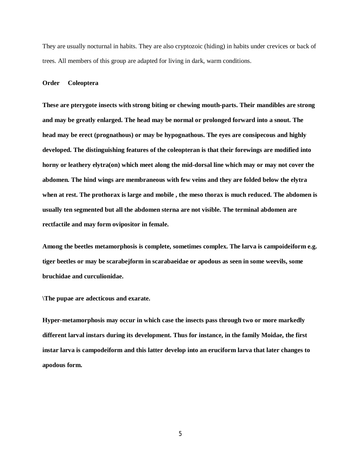They are usually nocturnal in habits. They are also cryptozoic (hiding) in habits under crevices or back of trees. All members of this group are adapted for living in dark, warm conditions.

#### **Order Coleoptera**

**These are pterygote insects with strong biting or chewing mouth-parts. Their mandibles are strong and may be greatly enlarged. The head may be normal or prolonged forward into a snout. The head may be erect (prognathous) or may be hypognathous. The eyes are consipecous and highly developed. The distinguishing features of the coleopteran is that their forewings are modified into horny or leathery elytra(on) which meet along the mid-dorsal line which may or may not cover the abdomen. The hind wings are membraneous with few veins and they are folded below the elytra when at rest. The prothorax is large and mobile , the meso thorax is much reduced. The abdomen is usually ten segmented but all the abdomen sterna are not visible. The terminal abdomen are rectfactile and may form ovipositor in female.**

**Among the beetles metamorphosis is complete, sometimes complex. The larva is campoideiform e.g. tiger beetles or may be scarabejform in scarabaeidae or apodous as seen in some weevils, some bruchidae and curculionidae.**

**\The pupae are adecticous and exarate.**

**Hyper-metamorphosis may occur in which case the insects pass through two or more markedly different larval instars during its development. Thus for instance, in the family Moidae, the first instar larva is campodeiform and this latter develop into an eruciform larva that later changes to apodous form.**